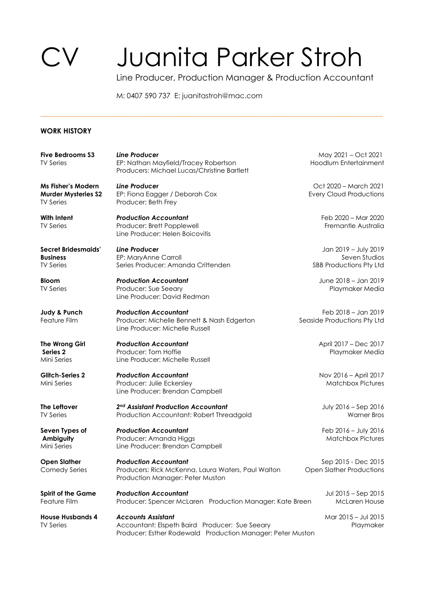## Juanita Parker Stroh

Line Producer, Production Manager & Production Accountant

M: 0407 590 737 E: juanitastroh@mac.com

\_\_\_\_\_\_\_\_\_\_\_\_\_\_\_\_\_\_\_\_\_\_\_\_\_\_\_\_\_\_\_\_\_\_\_\_\_\_\_\_\_\_\_\_\_\_\_\_\_\_\_\_\_\_\_\_\_\_\_\_\_\_\_\_\_\_\_\_\_\_\_\_\_\_\_\_\_\_\_\_\_\_\_\_\_\_\_\_\_\_\_\_\_\_\_\_

## **WORK HISTORY**

TV Series **Producer:** Beth Frey

**Five Bedrooms S3** *Line Producer* **May 2021 – Oct 2021** TV Series **EP: Nathan Mayfield/Tracey Robertson** Hoodlum Entertainment Producers: Michael Lucas/Christine Bartlett

**Murder Mysteries S2** EP: Fiona Eagger / Deborah Cox **Exercise Exery Cloud Productions** 

**With Intent** *Production Accountant* Feb 2020 – Mar 2020 Producer: Brett Popplewell **Series Producer: Brett Popplewell** Fremantle Australia Line Producer: Helen Boicovitis

**Secret Bridesmaids'** *Line Producer* Jan 2019 – July 2019 **EP: MaryAnne Carroll** TV Series Series Producer: Amanda Crittenden SBB Productions Pty Ltd

**Bloom** *Production Accountant* June 2018 – Jan 2019 TV Series Producer: Sue Seeary Playmaker Media Line Producer: David Redman

**Judy & Punch** *Production Accountant* Feb 2018 – Jan 2019 Feature Film Producer: Michelle Bennett & Nash Edgerton Seaside Productions Pty Ltd Line Producer: Michelle Russell

**The Wrong Girl** *Production Accountant* April 2017 – Dec 2017 **Series 2** Producer: Tom Hoffie Playmaker Media **Line Producer: Michelle Russell** 

**Glitch-Series 2** *Production Accountant* Nov 2016 – April 2017 Mini Series **Producer: Julie Eckersley Matchbox Pictures** Matchbox Pictures Line Producer: Brendan Campbell

**The Leftover 2nd Assistant Production Accountant 1200 Contract 1200 Contract 1200 Contract 2016** TV Series **Production Accountant: Robert Threadgold** Warner Bros

**Seven Types of** *Production Accountant Production Accountant Production Accountant Production Accountant Production Accountant Production Accountant Production Accountant Production Accountant* **Ambiguity** Producer: Amanda Higgs **Producer: Amanda Higgs** Matchbox Pictures Mini Series Line Producer: Brendan Campbell

**Open Slather** *Production Accountant Production Accountant* **Sep 2015 - Dec 2015** Comedy Series Producers: Rick McKenna, Laura Waters, Paul Walton Open Slather Productions Production Manager: Peter Muston

**Spirit of the Game** *Production Accountant* Jul 2015 – Sep 2015 Producer: Spencer McLaren Production Manager: Kate Breen McLaren House

**House Husbands 4** *Accounts Assistant* 1 1 1 1 1 1 1 Mar 2015 – Jul 2015 TV Series **Accountant: Elspeth Baird Producer: Sue Seeary Playmaker** Playmaker Producer: Esther Rodewald Production Manager: Peter Muston

**Ms Fisher's Modern** *Line Producer* **Community 2021 Ms Fisher's Modern** *Line Producer* **Community 2021**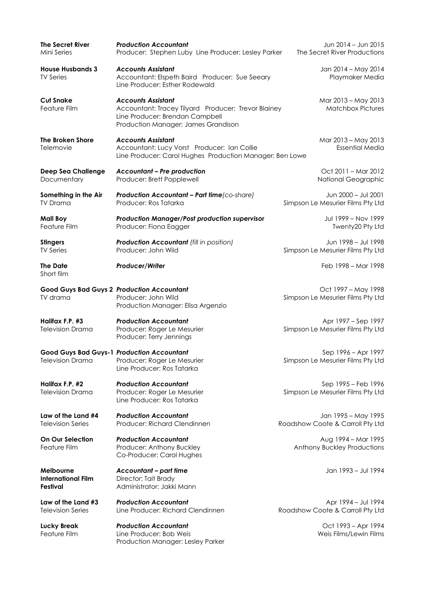| The Secret River<br>Mini Series                    | <b>Production Accountant</b><br>Producer: Stephen Luby Line Producer: Lesley Parker                                                                        | Jun 2014 - Jun 2015<br>The Secret River Productions      |
|----------------------------------------------------|------------------------------------------------------------------------------------------------------------------------------------------------------------|----------------------------------------------------------|
| <b>House Husbands 3</b><br><b>TV Series</b>        | <b>Accounts Assistant</b><br>Accountant: Elspeth Baird Producer: Sue Seeary<br>Line Producer: Esther Rodewald                                              | Jan 2014 - May 2014<br>Playmaker Media                   |
| <b>Cut Snake</b><br>Feature Film                   | <b>Accounts Assistant</b><br>Accountant: Tracey Tilyard Producer: Trevor Blainey<br>Line Producer: Brendan Campbell<br>Production Manager: James Grandison | Mar 2013 - May 2013<br><b>Matchbox Pictures</b>          |
| <b>The Broken Shore</b><br>Telemovie               | <b>Accounts Assistant</b><br>Accountant: Lucy Vorst Producer: Ian Collie<br>Line Producer: Carol Hughes Production Manager: Ben Lowe                       | Mar 2013 - May 2013<br><b>Essential Media</b>            |
| <b>Deep Sea Challenge</b><br>Documentary           | <b>Accountant - Pre production</b><br>Producer: Brett Popplewell                                                                                           | Oct 2011 - Mar 2012<br>National Geographic               |
| Something in the Air<br><b>TV Drama</b>            | Production Accountant - Part time (co-share)<br>Producer: Ros Tatarka                                                                                      | Jun 2000 - Jul 2001<br>Simpson Le Mesurier Films Pty Ltd |
| <b>Mall Boy</b><br>Feature Film                    | <b>Production Manager/Post production supervisor</b><br>Producer: Fiona Eagger                                                                             | Jul 1999 - Nov 1999<br>Twenty20 Pty Ltd                  |
| <b>Stingers</b><br><b>TV Series</b>                | <b>Production Accountant (fill in position)</b><br>Producer: John Wild                                                                                     | Jun 1998 - Jul 1998<br>Simpson Le Mesurier Films Pty Ltd |
| <b>The Date</b><br>Short film                      | Producer/Writer                                                                                                                                            | Feb 1998 - Mar 1998                                      |
| TV drama                                           | <b>Good Guys Bad Guys 2 Production Accountant</b><br>Producer: John Wild<br>Production Manager: Elisa Argenzio                                             | Oct 1997 - May 1998<br>Simpson Le Mesurier Films Pty Ltd |
| Halifax F.P. #3<br><b>Television Drama</b>         | <b>Production Accountant</b><br>Producer: Roger Le Mesurier<br>Producer: Terry Jennings                                                                    | Apr 1997 – Sep 1997<br>Simpson Le Mesurier Films Pty Ltd |
| Television Drama                                   | <b>Good Guys Bad Guys-1 Production Accountant</b><br>Producer: Roger Le Mesurier<br>Line Producer: Ros Tatarka                                             | Sep 1996 - Apr 1997<br>Simpson Le Mesurier Films Pty Ltd |
| Halifax F.P. #2<br><b>Television Drama</b>         | <b>Production Accountant</b><br>Producer: Roger Le Mesurier<br>Line Producer: Ros Tatarka                                                                  | Sep 1995 – Feb 1996<br>Simpson Le Mesurier Films Pty Ltd |
| Law of the Land #4<br><b>Television Series</b>     | <b>Production Accountant</b><br>Producer: Richard Clendinnen                                                                                               | Jan 1995 - May 1995<br>Roadshow Coote & Carroll Pty Ltd  |
| <b>On Our Selection</b><br>Feature Film            | <b>Production Accountant</b><br>Producer: Anthony Buckley<br>Co-Producer: Carol Hughes                                                                     | Aug 1994 - Mar 1995<br>Anthony Buckley Productions       |
| Melbourne<br><b>International Film</b><br>Festival | <b>Accountant - part time</b><br>Director: Tait Brady<br>Administrator: Jakki Mann                                                                         | Jan 1993 - Jul 1994                                      |
| Law of the Land #3<br><b>Television Series</b>     | <b>Production Accountant</b><br>Line Producer: Richard Clendinnen                                                                                          | Apr 1994 – Jul 1994<br>Roadshow Coote & Carroll Pty Ltd  |
| <b>Lucky Break</b><br>Feature Film                 | <b>Production Accountant</b><br>Line Producer: Bob Weis<br>Production Manager: Lesley Parker                                                               | Oct 1993 - Apr 1994<br>Weis Films/Lewin Films            |